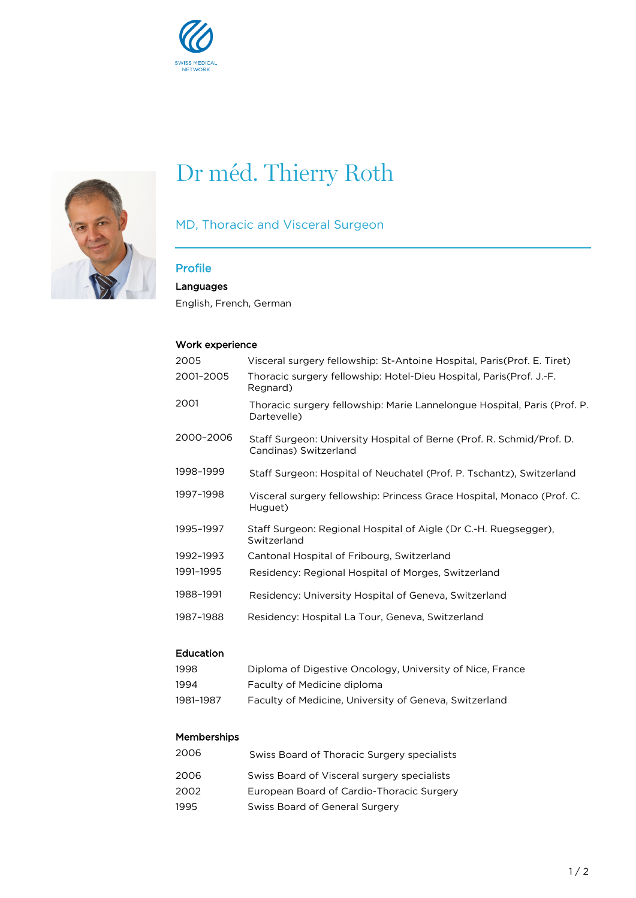



# Dr méd. Thierry Roth

### MD, Thoracic and Visceral Surgeon

## Profile

Languages

English, French, German

#### Work experience

| 2005      | Visceral surgery fellowship: St-Antoine Hospital, Paris (Prof. E. Tiret)                       |
|-----------|------------------------------------------------------------------------------------------------|
| 2001-2005 | Thoracic surgery fellowship: Hotel-Dieu Hospital, Paris (Prof. J.-F.<br>Regnard)               |
| 2001      | Thoracic surgery fellowship: Marie Lannelongue Hospital, Paris (Prof. P.<br>Dartevelle)        |
| 2000-2006 | Staff Surgeon: University Hospital of Berne (Prof. R. Schmid/Prof. D.<br>Candinas) Switzerland |
| 1998-1999 | Staff Surgeon: Hospital of Neuchatel (Prof. P. Tschantz), Switzerland                          |
| 1997-1998 | Visceral surgery fellowship: Princess Grace Hospital, Monaco (Prof. C.<br>Huguet)              |
| 1995-1997 | Staff Surgeon: Regional Hospital of Aigle (Dr C.-H. Ruegsegger),<br>Switzerland                |
| 1992-1993 | Cantonal Hospital of Fribourg, Switzerland                                                     |
| 1991-1995 | Residency: Regional Hospital of Morges, Switzerland                                            |
| 1988-1991 | Residency: University Hospital of Geneva, Switzerland                                          |
| 1987-1988 | Residency: Hospital La Tour, Geneva, Switzerland                                               |

#### Education

| 1998      | Diploma of Digestive Oncology, University of Nice, France |
|-----------|-----------------------------------------------------------|
| 1994      | Faculty of Medicine diploma                               |
| 1981–1987 | Faculty of Medicine, University of Geneva, Switzerland    |

#### Memberships

| 2006 | Swiss Board of Thoracic Surgery specialists |
|------|---------------------------------------------|
| 2006 | Swiss Board of Visceral surgery specialists |
| 2002 | European Board of Cardio-Thoracic Surgery   |
| 1995 | Swiss Board of General Surgery              |